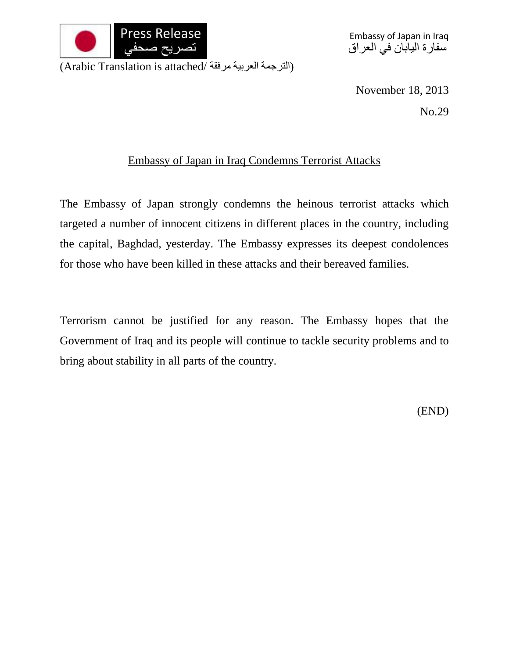

Embassy of Japan in Iraq سفارة اليابان في العراق

(الترجمة العربية مرفقة /Arabic Translation is attached)

November 18, 2013

No.29

## Embassy of Japan in Iraq Condemns Terrorist Attacks

The Embassy of Japan strongly condemns the heinous terrorist attacks which targeted a number of innocent citizens in different places in the country, including the capital, Baghdad, yesterday. The Embassy expresses its deepest condolences for those who have been killed in these attacks and their bereaved families.

Terrorism cannot be justified for any reason. The Embassy hopes that the Government of Iraq and its people will continue to tackle security problems and to bring about stability in all parts of the country.

(END)